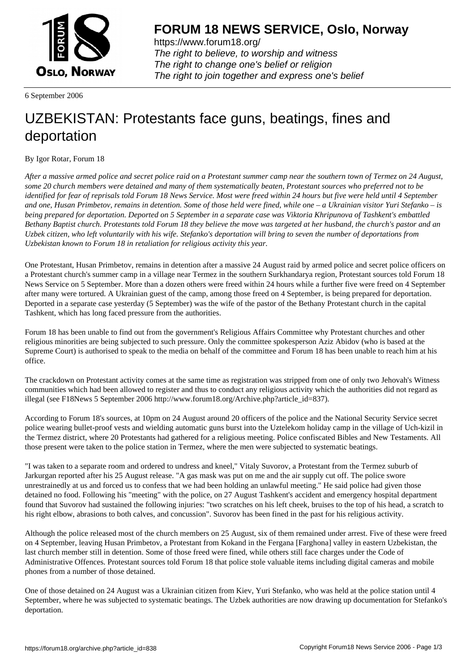

https://www.forum18.org/ The right to believe, to worship and witness The right to change one's belief or religion [The right to join together a](https://www.forum18.org/)nd express one's belief

6 September 2006

## [UZBEKISTAN:](https://www.forum18.org) Protestants face guns, beatings, fines and deportation

## By Igor Rotar, Forum 18

*After a massive armed police and secret police raid on a Protestant summer camp near the southern town of Termez on 24 August, some 20 church members were detained and many of them systematically beaten, Protestant sources who preferred not to be identified for fear of reprisals told Forum 18 News Service. Most were freed within 24 hours but five were held until 4 September and one, Husan Primbetov, remains in detention. Some of those held were fined, while one – a Ukrainian visitor Yuri Stefanko – is being prepared for deportation. Deported on 5 September in a separate case was Viktoria Khripunova of Tashkent's embattled Bethany Baptist church. Protestants told Forum 18 they believe the move was targeted at her husband, the church's pastor and an Uzbek citizen, who left voluntarily with his wife. Stefanko's deportation will bring to seven the number of deportations from Uzbekistan known to Forum 18 in retaliation for religious activity this year.*

One Protestant, Husan Primbetov, remains in detention after a massive 24 August raid by armed police and secret police officers on a Protestant church's summer camp in a village near Termez in the southern Surkhandarya region, Protestant sources told Forum 18 News Service on 5 September. More than a dozen others were freed within 24 hours while a further five were freed on 4 September after many were tortured. A Ukrainian guest of the camp, among those freed on 4 September, is being prepared for deportation. Deported in a separate case yesterday (5 September) was the wife of the pastor of the Bethany Protestant church in the capital Tashkent, which has long faced pressure from the authorities.

Forum 18 has been unable to find out from the government's Religious Affairs Committee why Protestant churches and other religious minorities are being subjected to such pressure. Only the committee spokesperson Aziz Abidov (who is based at the Supreme Court) is authorised to speak to the media on behalf of the committee and Forum 18 has been unable to reach him at his office.

The crackdown on Protestant activity comes at the same time as registration was stripped from one of only two Jehovah's Witness communities which had been allowed to register and thus to conduct any religious activity which the authorities did not regard as illegal (see F18News 5 September 2006 http://www.forum18.org/Archive.php?article\_id=837).

According to Forum 18's sources, at 10pm on 24 August around 20 officers of the police and the National Security Service secret police wearing bullet-proof vests and wielding automatic guns burst into the Uztelekom holiday camp in the village of Uch-kizil in the Termez district, where 20 Protestants had gathered for a religious meeting. Police confiscated Bibles and New Testaments. All those present were taken to the police station in Termez, where the men were subjected to systematic beatings.

"I was taken to a separate room and ordered to undress and kneel," Vitaly Suvorov, a Protestant from the Termez suburb of Jarkurgan reported after his 25 August release. "A gas mask was put on me and the air supply cut off. The police swore unrestrainedly at us and forced us to confess that we had been holding an unlawful meeting." He said police had given those detained no food. Following his "meeting" with the police, on 27 August Tashkent's accident and emergency hospital department found that Suvorov had sustained the following injuries: "two scratches on his left cheek, bruises to the top of his head, a scratch to his right elbow, abrasions to both calves, and concussion". Suvorov has been fined in the past for his religious activity.

Although the police released most of the church members on 25 August, six of them remained under arrest. Five of these were freed on 4 September, leaving Husan Primbetov, a Protestant from Kokand in the Fergana [Farghona] valley in eastern Uzbekistan, the last church member still in detention. Some of those freed were fined, while others still face charges under the Code of Administrative Offences. Protestant sources told Forum 18 that police stole valuable items including digital cameras and mobile phones from a number of those detained.

One of those detained on 24 August was a Ukrainian citizen from Kiev, Yuri Stefanko, who was held at the police station until 4 September, where he was subjected to systematic beatings. The Uzbek authorities are now drawing up documentation for Stefanko's deportation.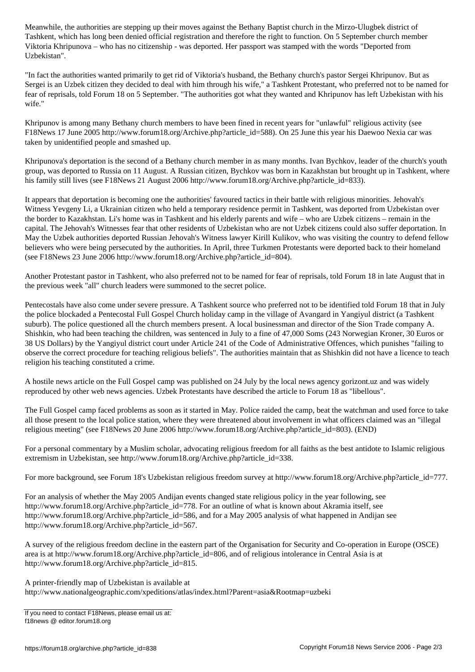Tashkent, which has long been denied official registration and therefore the right to function. On 5 September church member Viktoria Khripunova – who has no citizenship - was deported. Her passport was stamped with the words "Deported from Uzbekistan".

"In fact the authorities wanted primarily to get rid of Viktoria's husband, the Bethany church's pastor Sergei Khripunov. But as Sergei is an Uzbek citizen they decided to deal with him through his wife," a Tashkent Protestant, who preferred not to be named for fear of reprisals, told Forum 18 on 5 September. "The authorities got what they wanted and Khripunov has left Uzbekistan with his wife."

Khripunov is among many Bethany church members to have been fined in recent years for "unlawful" religious activity (see F18News 17 June 2005 http://www.forum18.org/Archive.php?article\_id=588). On 25 June this year his Daewoo Nexia car was taken by unidentified people and smashed up.

Khripunova's deportation is the second of a Bethany church member in as many months. Ivan Bychkov, leader of the church's youth group, was deported to Russia on 11 August. A Russian citizen, Bychkov was born in Kazakhstan but brought up in Tashkent, where his family still lives (see F18News 21 August 2006 http://www.forum18.org/Archive.php?article\_id=833).

It appears that deportation is becoming one the authorities' favoured tactics in their battle with religious minorities. Jehovah's Witness Yevgeny Li, a Ukrainian citizen who held a temporary residence permit in Tashkent, was deported from Uzbekistan over the border to Kazakhstan. Li's home was in Tashkent and his elderly parents and wife – who are Uzbek citizens – remain in the capital. The Jehovah's Witnesses fear that other residents of Uzbekistan who are not Uzbek citizens could also suffer deportation. In May the Uzbek authorities deported Russian Jehovah's Witness lawyer Kirill Kulikov, who was visiting the country to defend fellow believers who were being persecuted by the authorities. In April, three Turkmen Protestants were deported back to their homeland (see F18News 23 June 2006 http://www.forum18.org/Archive.php?article\_id=804).

Another Protestant pastor in Tashkent, who also preferred not to be named for fear of reprisals, told Forum 18 in late August that in the previous week "all" church leaders were summoned to the secret police.

Pentecostals have also come under severe pressure. A Tashkent source who preferred not to be identified told Forum 18 that in July the police blockaded a Pentecostal Full Gospel Church holiday camp in the village of Avangard in Yangiyul district (a Tashkent suburb). The police questioned all the church members present. A local businessman and director of the Sion Trade company A. Shishkin, who had been teaching the children, was sentenced in July to a fine of 47,000 Soms (243 Norwegian Kroner, 30 Euros or 38 US Dollars) by the Yangiyul district court under Article 241 of the Code of Administrative Offences, which punishes "failing to observe the correct procedure for teaching religious beliefs". The authorities maintain that as Shishkin did not have a licence to teach religion his teaching constituted a crime.

A hostile news article on the Full Gospel camp was published on 24 July by the local news agency gorizont.uz and was widely reproduced by other web news agencies. Uzbek Protestants have described the article to Forum 18 as "libellous".

The Full Gospel camp faced problems as soon as it started in May. Police raided the camp, beat the watchman and used force to take all those present to the local police station, where they were threatened about involvement in what officers claimed was an "illegal religious meeting" (see F18News 20 June 2006 http://www.forum18.org/Archive.php?article\_id=803). (END)

For a personal commentary by a Muslim scholar, advocating religious freedom for all faiths as the best antidote to Islamic religious extremism in Uzbekistan, see http://www.forum18.org/Archive.php?article\_id=338.

For more background, see Forum 18's Uzbekistan religious freedom survey at http://www.forum18.org/Archive.php?article\_id=777.

For an analysis of whether the May 2005 Andijan events changed state religious policy in the year following, see http://www.forum18.org/Archive.php?article\_id=778. For an outline of what is known about Akramia itself, see http://www.forum18.org/Archive.php?article\_id=586, and for a May 2005 analysis of what happened in Andijan see http://www.forum18.org/Archive.php?article\_id=567.

A survey of the religious freedom decline in the eastern part of the Organisation for Security and Co-operation in Europe (OSCE) area is at http://www.forum18.org/Archive.php?article\_id=806, and of religious intolerance in Central Asia is at http://www.forum18.org/Archive.php?article\_id=815.

A printer-friendly map of Uzbekistan is available at http://www.nationalgeographic.com/xpeditions/atlas/index.html?Parent=asia&Rootmap=uzbeki

If you need to contact F18News, please email us at: f18news @ editor.forum18.org